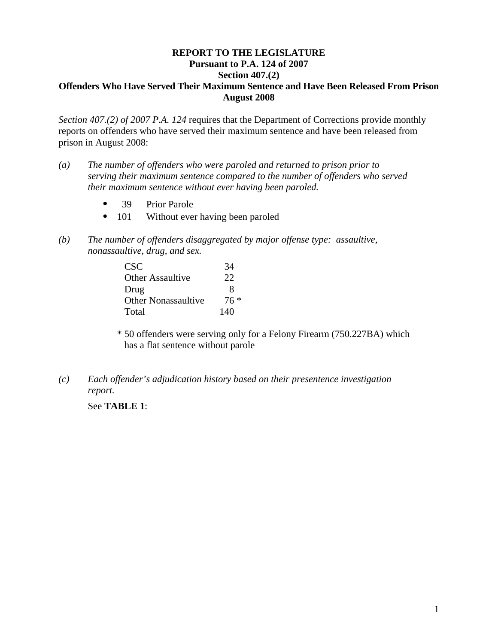## **REPORT TO THE LEGISLATURE Pursuant to P.A. 124 of 2007 Section 407.(2) Offenders Who Have Served Their Maximum Sentence and Have Been Released From Prison August 2008**

*Section 407.(2) of 2007 P.A. 124* requires that the Department of Corrections provide monthly reports on offenders who have served their maximum sentence and have been released from prison in August 2008:

- *(a) The number of offenders who were paroled and returned to prison prior to serving their maximum sentence compared to the number of offenders who served their maximum sentence without ever having been paroled.* 
	- 39 Prior Parole
	- 101 Without ever having been paroled
- *(b) The number of offenders disaggregated by major offense type: assaultive, nonassaultive, drug, and sex.*

| CSC <sup>-</sup>           | 34   |
|----------------------------|------|
| Other Assaultive           | 22   |
| Drug                       | 8    |
| <b>Other Nonassaultive</b> | 76 * |
| Total                      | 140  |

\* 50 offenders were serving only for a Felony Firearm (750.227BA) which has a flat sentence without parole

*(c) Each offender's adjudication history based on their presentence investigation report.* 

See **TABLE 1**: